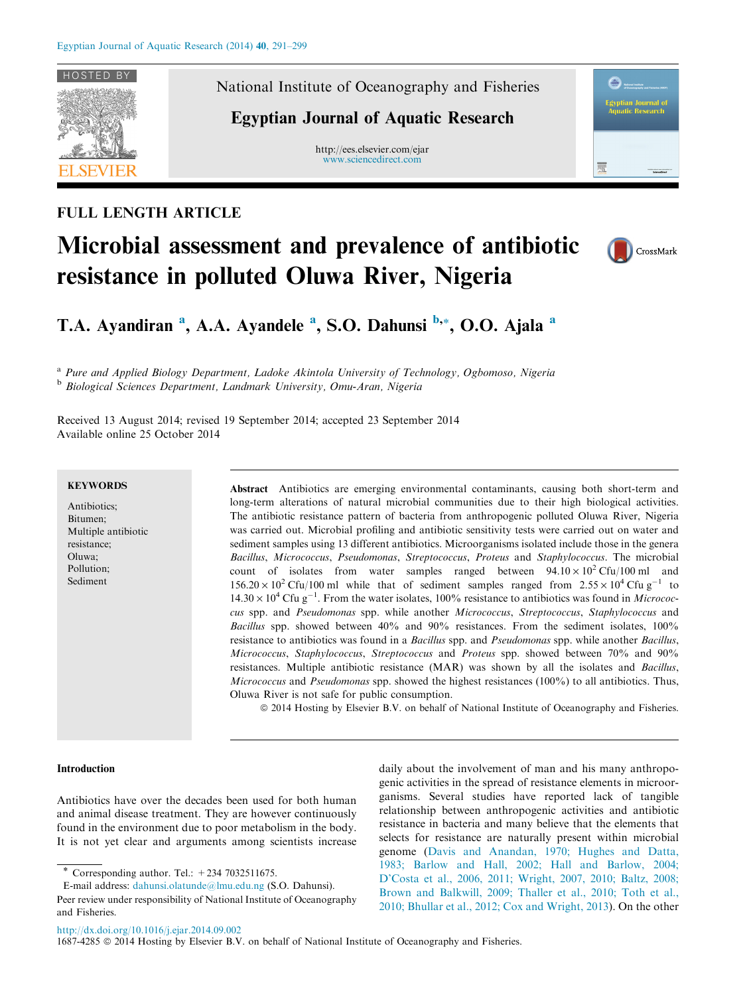

FULL LENGTH ARTICLE

# National Institute of Oceanography and Fisheries

# Egyptian Journal of Aquatic Research

http://ees.elsevier.com/ejar [www.sciencedirect.com](http://www.sciencedirect.com/science/journal/16874285)



# Microbial assessment and prevalence of antibiotic resistance in polluted Oluwa River, Nigeria



T.A. Ayandiran <sup>a</sup>, A.A. Ayandele <sup>a</sup>, S.O. Dahunsi <sup>b,\*</sup>, O.O. Ajala <sup>a</sup>

<sup>a</sup> Pure and Applied Biology Department, Ladoke Akintola University of Technology, Ogbomoso, Nigeria <sup>b</sup> Biological Sciences Department, Landmark University, Omu-Aran, Nigeria

Received 13 August 2014; revised 19 September 2014; accepted 23 September 2014 Available online 25 October 2014

# **KEYWORDS**

Antibiotics; Bitumen; Multiple antibiotic resistance; Oluwa; Pollution; Sediment

Abstract Antibiotics are emerging environmental contaminants, causing both short-term and long-term alterations of natural microbial communities due to their high biological activities. The antibiotic resistance pattern of bacteria from anthropogenic polluted Oluwa River, Nigeria was carried out. Microbial profiling and antibiotic sensitivity tests were carried out on water and sediment samples using 13 different antibiotics. Microorganisms isolated include those in the genera Bacillus, Micrococcus, Pseudomonas, Streptococcus, Proteus and Staphylococcus. The microbial count of isolates from water samples ranged between  $94.10 \times 10^2$  Cfu/100 ml and  $156.20 \times 10^2 \text{C}$ fu/100 ml while that of sediment samples ranged from  $2.55 \times 10^4 \text{C}$ fu g<sup>-1</sup> to  $14.30 \times 10^4$  Cfu g<sup>-1</sup>. From the water isolates, 100% resistance to antibiotics was found in *Micrococ*cus spp. and Pseudomonas spp. while another Micrococcus, Streptococcus, Staphylococcus and Bacillus spp. showed between 40% and 90% resistances. From the sediment isolates, 100% resistance to antibiotics was found in a Bacillus spp. and Pseudomonas spp. while another Bacillus, Micrococcus, Staphylococcus, Streptococcus and Proteus spp. showed between 70% and 90% resistances. Multiple antibiotic resistance (MAR) was shown by all the isolates and Bacillus, Micrococcus and Pseudomonas spp. showed the highest resistances (100%) to all antibiotics. Thus, Oluwa River is not safe for public consumption.

ª 2014 Hosting by Elsevier B.V. on behalf of National Institute of Oceanography and Fisheries.

## Introduction

Antibiotics have over the decades been used for both human and animal disease treatment. They are however continuously found in the environment due to poor metabolism in the body. It is not yet clear and arguments among scientists increase

Corresponding author. Tel.:  $+234$  7032511675.

daily about the involvement of man and his many anthropogenic activities in the spread of resistance elements in microorganisms. Several studies have reported lack of tangible relationship between anthropogenic activities and antibiotic resistance in bacteria and many believe that the elements that selects for resistance are naturally present within microbial genome [\(Davis and Anandan, 1970; Hughes and Datta,](#page-8-0) [1983; Barlow and Hall, 2002; Hall and Barlow, 2004;](#page-8-0) [D'Costa et al., 2006, 2011; Wright, 2007, 2010; Baltz, 2008;](#page-8-0) [Brown and Balkwill, 2009; Thaller et al., 2010; Toth et al.,](#page-8-0) [2010; Bhullar et al., 2012; Cox and Wright, 2013\)](#page-8-0). On the other

<http://dx.doi.org/10.1016/j.ejar.2014.09.002>

1687-4285  $\circledcirc$  2014 Hosting by Elsevier B.V. on behalf of National Institute of Oceanography and Fisheries.

E-mail address: [dahunsi.olatunde@lmu.edu.ng](mailto:dahunsi.olatunde@lmu.edu.ng) (S.O. Dahunsi). Peer review under responsibility of National Institute of Oceanography and Fisheries.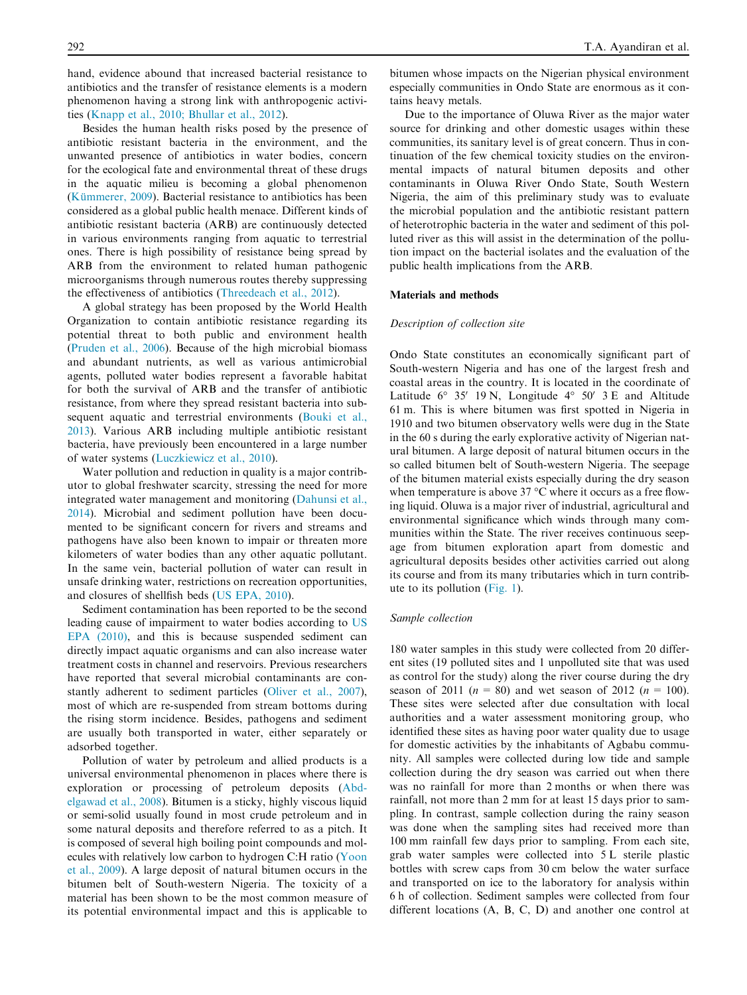hand, evidence abound that increased bacterial resistance to antibiotics and the transfer of resistance elements is a modern phenomenon having a strong link with anthropogenic activities ([Knapp et al., 2010; Bhullar et al., 2012\)](#page-8-0).

Besides the human health risks posed by the presence of antibiotic resistant bacteria in the environment, and the unwanted presence of antibiotics in water bodies, concern for the ecological fate and environmental threat of these drugs in the aquatic milieu is becoming a global phenomenon (Kümmerer, 2009). Bacterial resistance to antibiotics has been considered as a global public health menace. Different kinds of antibiotic resistant bacteria (ARB) are continuously detected in various environments ranging from aquatic to terrestrial ones. There is high possibility of resistance being spread by ARB from the environment to related human pathogenic microorganisms through numerous routes thereby suppressing the effectiveness of antibiotics ([Threedeach et al., 2012\)](#page-8-0).

A global strategy has been proposed by the World Health Organization to contain antibiotic resistance regarding its potential threat to both public and environment health ([Pruden et al., 2006\)](#page-8-0). Because of the high microbial biomass and abundant nutrients, as well as various antimicrobial agents, polluted water bodies represent a favorable habitat for both the survival of ARB and the transfer of antibiotic resistance, from where they spread resistant bacteria into subsequent aquatic and terrestrial environments [\(Bouki et al.,](#page-7-0) [2013\)](#page-7-0). Various ARB including multiple antibiotic resistant bacteria, have previously been encountered in a large number of water systems [\(Luczkiewicz et al., 2010](#page-8-0)).

Water pollution and reduction in quality is a major contributor to global freshwater scarcity, stressing the need for more integrated water management and monitoring [\(Dahunsi et al.,](#page-8-0) [2014\)](#page-8-0). Microbial and sediment pollution have been documented to be significant concern for rivers and streams and pathogens have also been known to impair or threaten more kilometers of water bodies than any other aquatic pollutant. In the same vein, bacterial pollution of water can result in unsafe drinking water, restrictions on recreation opportunities, and closures of shellfish beds [\(US EPA, 2010](#page-8-0)).

Sediment contamination has been reported to be the second leading cause of impairment to water bodies according to [US](#page-8-0) [EPA \(2010\)](#page-8-0), and this is because suspended sediment can directly impact aquatic organisms and can also increase water treatment costs in channel and reservoirs. Previous researchers have reported that several microbial contaminants are constantly adherent to sediment particles [\(Oliver et al., 2007](#page-8-0)), most of which are re-suspended from stream bottoms during the rising storm incidence. Besides, pathogens and sediment are usually both transported in water, either separately or adsorbed together.

Pollution of water by petroleum and allied products is a universal environmental phenomenon in places where there is exploration or processing of petroleum deposits [\(Abd](#page-7-0)[elgawad et al., 2008](#page-7-0)). Bitumen is a sticky, highly viscous liquid or semi-solid usually found in most crude petroleum and in some natural deposits and therefore referred to as a pitch. It is composed of several high boiling point compounds and molecules with relatively low carbon to hydrogen C:H ratio [\(Yoon](#page-8-0) [et al., 2009](#page-8-0)). A large deposit of natural bitumen occurs in the bitumen belt of South-western Nigeria. The toxicity of a material has been shown to be the most common measure of its potential environmental impact and this is applicable to

bitumen whose impacts on the Nigerian physical environment especially communities in Ondo State are enormous as it contains heavy metals.

Due to the importance of Oluwa River as the major water source for drinking and other domestic usages within these communities, its sanitary level is of great concern. Thus in continuation of the few chemical toxicity studies on the environmental impacts of natural bitumen deposits and other contaminants in Oluwa River Ondo State, South Western Nigeria, the aim of this preliminary study was to evaluate the microbial population and the antibiotic resistant pattern of heterotrophic bacteria in the water and sediment of this polluted river as this will assist in the determination of the pollution impact on the bacterial isolates and the evaluation of the public health implications from the ARB.

# Materials and methods

#### Description of collection site

Ondo State constitutes an economically significant part of South-western Nigeria and has one of the largest fresh and coastal areas in the country. It is located in the coordinate of Latitude  $6^{\circ}$  35' 19 N, Longitude  $4^{\circ}$  50' 3 E and Altitude 61 m. This is where bitumen was first spotted in Nigeria in 1910 and two bitumen observatory wells were dug in the State in the 60 s during the early explorative activity of Nigerian natural bitumen. A large deposit of natural bitumen occurs in the so called bitumen belt of South-western Nigeria. The seepage of the bitumen material exists especially during the dry season when temperature is above  $37 \degree C$  where it occurs as a free flowing liquid. Oluwa is a major river of industrial, agricultural and environmental significance which winds through many communities within the State. The river receives continuous seepage from bitumen exploration apart from domestic and agricultural deposits besides other activities carried out along its course and from its many tributaries which in turn contribute to its pollution [\(Fig. 1](#page-2-0)).

#### Sample collection

180 water samples in this study were collected from 20 different sites (19 polluted sites and 1 unpolluted site that was used as control for the study) along the river course during the dry season of 2011 ( $n = 80$ ) and wet season of 2012 ( $n = 100$ ). These sites were selected after due consultation with local authorities and a water assessment monitoring group, who identified these sites as having poor water quality due to usage for domestic activities by the inhabitants of Agbabu community. All samples were collected during low tide and sample collection during the dry season was carried out when there was no rainfall for more than 2 months or when there was rainfall, not more than 2 mm for at least 15 days prior to sampling. In contrast, sample collection during the rainy season was done when the sampling sites had received more than 100 mm rainfall few days prior to sampling. From each site, grab water samples were collected into 5 L sterile plastic bottles with screw caps from 30 cm below the water surface and transported on ice to the laboratory for analysis within 6 h of collection. Sediment samples were collected from four different locations (A, B, C, D) and another one control at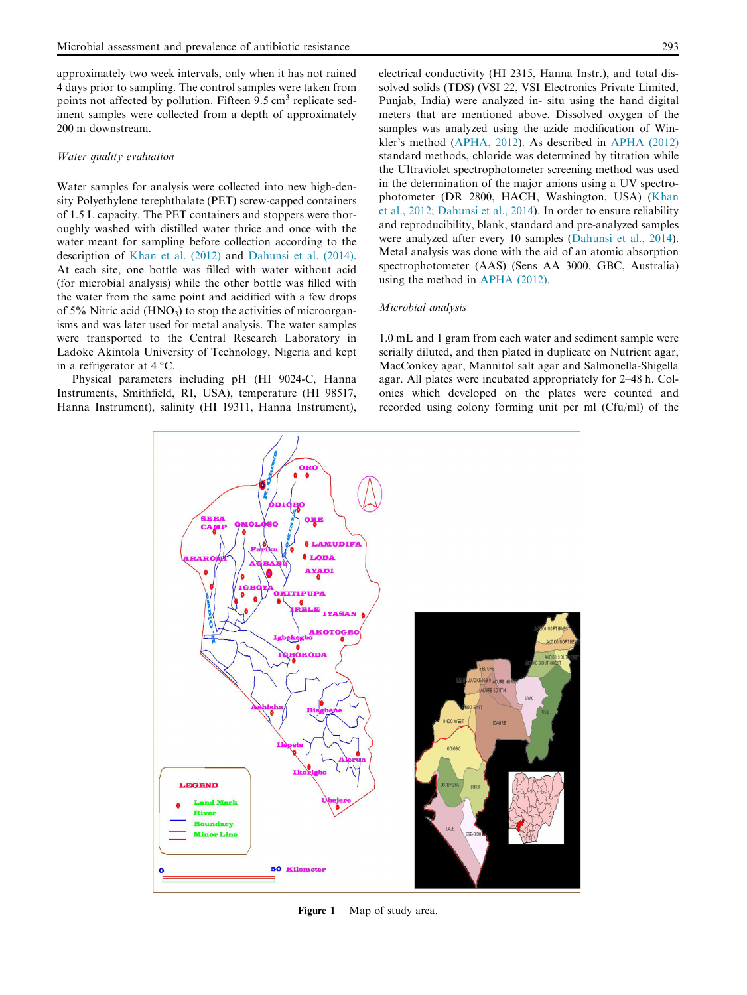<span id="page-2-0"></span>approximately two week intervals, only when it has not rained 4 days prior to sampling. The control samples were taken from points not affected by pollution. Fifteen  $9.5 \text{ cm}^3$  replicate sediment samples were collected from a depth of approximately 200 m downstream.

## Water quality evaluation

Water samples for analysis were collected into new high-density Polyethylene terephthalate (PET) screw-capped containers of 1.5 L capacity. The PET containers and stoppers were thoroughly washed with distilled water thrice and once with the water meant for sampling before collection according to the description of [Khan et al. \(2012\)](#page-8-0) and [Dahunsi et al. \(2014\).](#page-8-0) At each site, one bottle was filled with water without acid (for microbial analysis) while the other bottle was filled with the water from the same point and acidified with a few drops of  $5\%$  Nitric acid (HNO<sub>3</sub>) to stop the activities of microorganisms and was later used for metal analysis. The water samples were transported to the Central Research Laboratory in Ladoke Akintola University of Technology, Nigeria and kept in a refrigerator at  $4^{\circ}$ C.

Physical parameters including pH (HI 9024-C, Hanna Instruments, Smithfield, RI, USA), temperature (HI 98517, Hanna Instrument), salinity (HI 19311, Hanna Instrument), electrical conductivity (HI 2315, Hanna Instr.), and total dissolved solids (TDS) (VSI 22, VSI Electronics Private Limited, Punjab, India) were analyzed in- situ using the hand digital meters that are mentioned above. Dissolved oxygen of the samples was analyzed using the azide modification of Winkler's method ([APHA, 2012](#page-7-0)). As described in [APHA \(2012\)](#page-7-0) standard methods, chloride was determined by titration while the Ultraviolet spectrophotometer screening method was used in the determination of the major anions using a UV spectrophotometer (DR 2800, HACH, Washington, USA) ([Khan](#page-8-0) [et al., 2012; Dahunsi et al., 2014\)](#page-8-0). In order to ensure reliability and reproducibility, blank, standard and pre-analyzed samples were analyzed after every 10 samples ([Dahunsi et al., 2014](#page-8-0)). Metal analysis was done with the aid of an atomic absorption spectrophotometer (AAS) (Sens AA 3000, GBC, Australia) using the method in [APHA \(2012\)](#page-7-0).

#### Microbial analysis

1.0 mL and 1 gram from each water and sediment sample were serially diluted, and then plated in duplicate on Nutrient agar, MacConkey agar, Mannitol salt agar and Salmonella-Shigella agar. All plates were incubated appropriately for 2–48 h. Colonies which developed on the plates were counted and recorded using colony forming unit per ml (Cfu/ml) of the



Figure 1 Map of study area.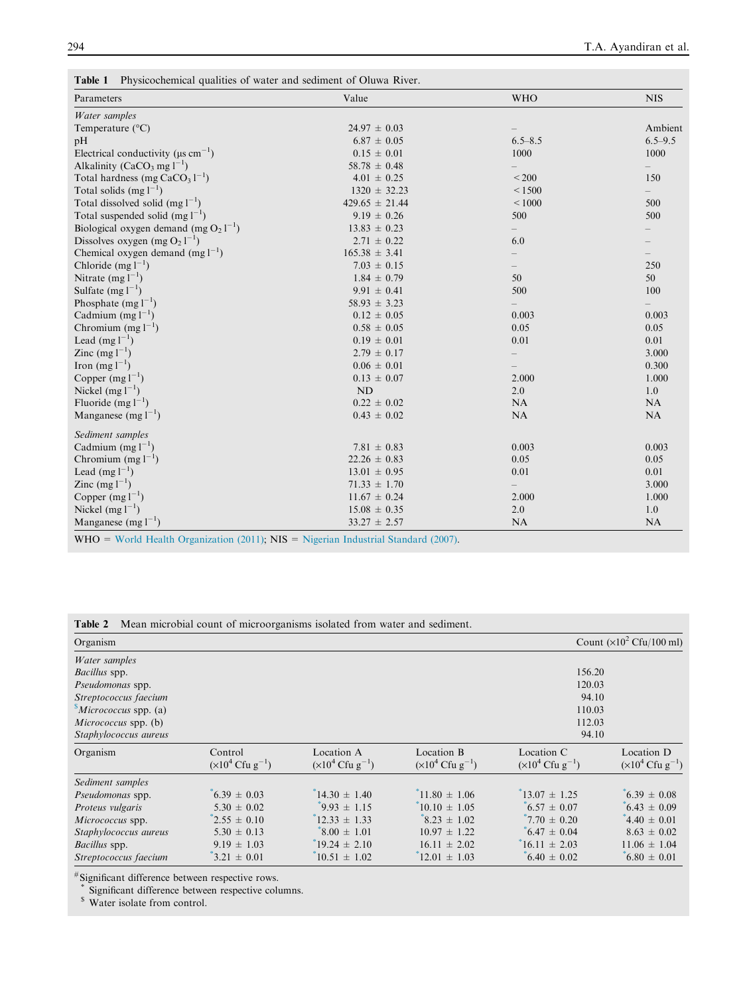<span id="page-3-0"></span>

| Parameters                                           | Value              | <b>WHO</b>        | <b>NIS</b>               |
|------------------------------------------------------|--------------------|-------------------|--------------------------|
|                                                      |                    |                   |                          |
| Water samples                                        |                    |                   |                          |
| Temperature $(^{\circ}C)$                            | $24.97 \pm 0.03$   |                   | Ambient                  |
| pH                                                   | $6.87 \pm 0.05$    | $6.5 - 8.5$       | $6.5 - 9.5$              |
| Electrical conductivity ( $\mu$ s cm <sup>-1</sup> ) | $0.15 \pm 0.01$    | 1000              | 1000                     |
| Alkalinity (CaCO <sub>3</sub> mg $1^{-1}$ )          | $58.78 \pm 0.48$   |                   |                          |
| Total hardness (mg $CaCO31-1$ )                      | $4.01 \pm 0.25$    | < 200             | 150                      |
| Total solids $(mg l^{-1})$                           | $1320 \pm 32.23$   | < 1500            | $\overline{\phantom{0}}$ |
| Total dissolved solid $(mg l^{-1})$                  | $429.65 \pm 21.44$ | $<1000$           | 500                      |
| Total suspended solid $(mg l^{-1})$                  | $9.19 \pm 0.26$    | 500               | 500                      |
| Biological oxygen demand (mg $O_2 1^{-1}$ )          | $13.83 \pm 0.23$   | $\qquad \qquad -$ |                          |
| Dissolves oxygen (mg $O_2 1^{-1}$ )                  | $2.71 \pm 0.22$    | 6.0               |                          |
| Chemical oxygen demand (mg $l^{-1}$ )                | $165.38 \pm 3.41$  |                   |                          |
| Chloride $(mg l^{-1})$                               | $7.03 \pm 0.15$    |                   | 250                      |
| Nitrate $(mg l^{-1})$                                | $1.84 \pm 0.79$    | 50                | 50                       |
| Sulfate $(mg l^{-1})$                                | $9.91 \pm 0.41$    | 500               | 100                      |
| Phosphate $(mg l^{-1})$                              | $58.93 \pm 3.23$   |                   |                          |
| Cadmium $(mg l^{-1})$                                | $0.12 \pm 0.05$    | 0.003             | 0.003                    |
| Chromium $(mg l^{-1})$                               | $0.58 \pm 0.05$    | 0.05              | 0.05                     |
| Lead $(mg l^{-1})$                                   | $0.19 \pm 0.01$    | 0.01              | 0.01                     |
| Zinc $(mg l^{-1})$                                   | $2.79 \pm 0.17$    |                   | 3.000                    |
| Iron $(mg l^{-1})$                                   | $0.06 \pm 0.01$    |                   | 0.300                    |
| Copper $(mg l^{-1})$                                 | $0.13 \pm 0.07$    | 2.000             | 1.000                    |
| Nickel $(mg l^{-1})$                                 | <b>ND</b>          | 2.0               | 1.0                      |
| Fluoride $(mg l^{-1})$                               | $0.22 \pm 0.02$    | NA                | NA                       |
| Manganese $(mg l^{-1})$                              | $0.43 \pm 0.02$    | NA                | NA                       |
| Sediment samples                                     |                    |                   |                          |
| Cadmium $(mg l^{-1})$                                | $7.81 \pm 0.83$    | 0.003             | 0.003                    |
| Chromium $(mg l^{-1})$                               | $22.26 \pm 0.83$   | 0.05              | 0.05                     |
| Lead (mg $1^{-1}$ )                                  | $13.01 \pm 0.95$   | 0.01              | 0.01                     |
| Zinc $(mg l^{-1})$                                   | $71.33 \pm 1.70$   |                   | 3.000                    |
| Copper $(mg l^{-1})$                                 | $11.67 \pm 0.24$   | 2.000             | 1.000                    |
| Nickel $(mg l^{-1})$                                 | $15.08 \pm 0.35$   | 2.0               | 1.0                      |
| Manganese $(mg l^{-1})$                              | $33.27 \pm 2.57$   | NA                | NA                       |

Table 2 Mean microbial count of microorganisms isolated from water and sediment.

| Organism                               |                                                          |                                                          |                                                             |                                                             | Count $(\times 10^2 \text{ Cfu}/100 \text{ ml})$ |  |  |
|----------------------------------------|----------------------------------------------------------|----------------------------------------------------------|-------------------------------------------------------------|-------------------------------------------------------------|--------------------------------------------------|--|--|
| Water samples                          |                                                          |                                                          |                                                             |                                                             |                                                  |  |  |
| Bacillus spp.                          |                                                          |                                                          |                                                             | 156.20                                                      |                                                  |  |  |
| Pseudomonas spp.                       |                                                          |                                                          |                                                             | 120.03                                                      |                                                  |  |  |
| Streptococcus faecium                  |                                                          |                                                          |                                                             | 94.10                                                       |                                                  |  |  |
| $^{\circ}$ <i>Micrococcus</i> spp. (a) | 110.03                                                   |                                                          |                                                             |                                                             |                                                  |  |  |
| <i>Micrococcus</i> spp. (b)            | 112.03                                                   |                                                          |                                                             |                                                             |                                                  |  |  |
| Staphylococcus aureus                  |                                                          |                                                          |                                                             | 94.10                                                       |                                                  |  |  |
| Organism                               | Control<br>$(\times 10^4 \text{ C}$ fu g <sup>-1</sup> ) | Location A<br>$(\times 10^4 \text{ C} \text{fu g}^{-1})$ | Location B<br>$(\times 10^4 \text{ C}$ fu g <sup>-1</sup> ) | Location C<br>$(\times 10^4 \text{ C}$ fu g <sup>-1</sup> ) | Location D<br>$(x10^4 \text{ Cfu g}^{-1})$       |  |  |
| Sediment samples                       |                                                          |                                                          |                                                             |                                                             |                                                  |  |  |
| <i>Pseudomonas</i> spp.                | $6.39 \pm 0.03$                                          | $14.30 \pm 1.40$                                         | $11.80 \pm 1.06$                                            | $13.07 \pm 1.25$                                            | $6.39 \pm 0.08$                                  |  |  |
| Proteus vulgaris                       | $5.30 \pm 0.02$                                          | $9.93 \pm 1.15$                                          | $10.10 \pm 1.05$                                            | $6.57 \pm 0.07$                                             | $6.43 \pm 0.09$                                  |  |  |
| Micrococcus spp.                       | $2.55 \pm 0.10$                                          | $12.33 \pm 1.33$                                         | $8.23 \pm 1.02$                                             | $7.70 \pm 0.20$                                             | 4.40 $\pm$ 0.01                                  |  |  |
| Staphylococcus aureus                  | $5.30 \pm 0.13$                                          | $8.00 \pm 1.01$                                          | $10.97 \pm 1.22$                                            | $6.47 \pm 0.04$                                             | $8.63 \pm 0.02$                                  |  |  |
| <i>Bacillus</i> spp.                   | $9.19 \pm 1.03$                                          | $19.24 \pm 2.10$                                         | $16.11 \pm 2.02$                                            | $16.11 \pm 2.03$                                            | $11.06 \pm 1.04$                                 |  |  |
| Streptococcus faecium                  | $3.21 \pm 0.01$                                          | $10.51 \pm 1.02$                                         | $12.01 \pm 1.03$                                            | $6.40 \pm 0.02$                                             | $6.80 \pm 0.01$                                  |  |  |

# Significant difference between respective rows.

Significant difference between respective columns.

<sup>\$</sup> Water isolate from control.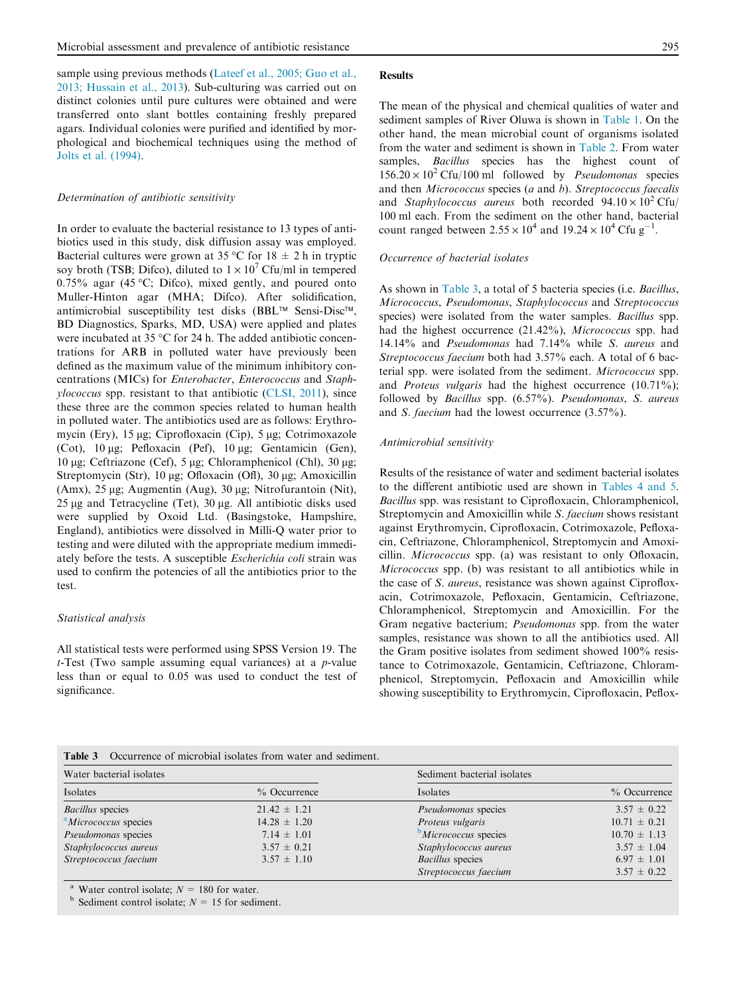sample using previous methods [\(Lateef et al., 2005; Guo et al.,](#page-8-0) [2013; Hussain et al., 2013](#page-8-0)). Sub-culturing was carried out on distinct colonies until pure cultures were obtained and were transferred onto slant bottles containing freshly prepared agars. Individual colonies were purified and identified by morphological and biochemical techniques using the method of [Jolts et al. \(1994\)](#page-8-0).

#### Determination of antibiotic sensitivity

In order to evaluate the bacterial resistance to 13 types of antibiotics used in this study, disk diffusion assay was employed. Bacterial cultures were grown at 35 °C for 18  $\pm$  2 h in tryptic soy broth (TSB; Difco), diluted to  $1 \times 10^7$  Cfu/ml in tempered  $0.75\%$  agar (45 °C; Difco), mixed gently, and poured onto Muller-Hinton agar (MHA; Difco). After solidification, antimicrobial susceptibility test disks (BBL<sup>TM</sup> Sensi-Disc<sup>TM</sup>, BD Diagnostics, Sparks, MD, USA) were applied and plates were incubated at 35  $\degree$ C for 24 h. The added antibiotic concentrations for ARB in polluted water have previously been defined as the maximum value of the minimum inhibitory concentrations (MICs) for Enterobacter, Enterococcus and Staphylococcus spp. resistant to that antibiotic [\(CLSI, 2011\)](#page-7-0), since these three are the common species related to human health in polluted water. The antibiotics used are as follows: Erythromycin (Ery), 15 µg; Ciprofloxacin (Cip), 5 µg; Cotrimoxazole (Cot),  $10 \mu$ g; Pefloxacin (Pef),  $10 \mu$ g; Gentamicin (Gen), 10 μg; Ceftriazone (Cef), 5 μg; Chloramphenicol (Chl), 30 μg; Streptomycin (Str), 10  $\mu$ g; Ofloxacin (Ofl), 30  $\mu$ g; Amoxicillin (Amx),  $25 \mu g$ ; Augmentin (Aug),  $30 \mu g$ ; Nitrofurantoin (Nit),  $25 \mu$ g and Tetracycline (Tet),  $30 \mu$ g. All antibiotic disks used were supplied by Oxoid Ltd. (Basingstoke, Hampshire, England), antibiotics were dissolved in Milli-Q water prior to testing and were diluted with the appropriate medium immediately before the tests. A susceptible Escherichia coli strain was used to confirm the potencies of all the antibiotics prior to the test.

#### Statistical analysis

All statistical tests were performed using SPSS Version 19. The  $t$ -Test (Two sample assuming equal variances) at a  $p$ -value less than or equal to 0.05 was used to conduct the test of significance.

#### **Results**

The mean of the physical and chemical qualities of water and sediment samples of River Oluwa is shown in [Table 1.](#page-3-0) On the other hand, the mean microbial count of organisms isolated from the water and sediment is shown in [Table 2.](#page-3-0) From water samples, *Bacillus* species has the highest count of  $156.20 \times 10^2$  Cfu/100 ml followed by *Pseudomonas* species and then Micrococcus species (a and b). Streptococcus faecalis and *Staphylococcus* aureus both recorded  $94.10 \times 10^2$  Cfu 100 ml each. From the sediment on the other hand, bacterial count ranged between  $2.55 \times 10^4$  and  $19.24 \times 10^4$  Cfu g<sup>-1</sup>.

#### Occurrence of bacterial isolates

As shown in Table 3, a total of 5 bacteria species (i.e. *Bacillus*, Micrococcus, Pseudomonas, Staphylococcus and Streptococcus species) were isolated from the water samples. Bacillus spp. had the highest occurrence (21.42%), Micrococcus spp. had 14.14% and Pseudomonas had 7.14% while S. aureus and Streptococcus faecium both had 3.57% each. A total of 6 bacterial spp. were isolated from the sediment. Micrococcus spp. and Proteus vulgaris had the highest occurrence (10.71%); followed by Bacillus spp. (6.57%). Pseudomonas, S. aureus and S. faecium had the lowest occurrence (3.57%).

#### Antimicrobial sensitivity

Results of the resistance of water and sediment bacterial isolates to the different antibiotic used are shown in [Tables 4 and 5](#page-5-0). Bacillus spp. was resistant to Ciprofloxacin, Chloramphenicol, Streptomycin and Amoxicillin while S. faecium shows resistant against Erythromycin, Ciprofloxacin, Cotrimoxazole, Pefloxacin, Ceftriazone, Chloramphenicol, Streptomycin and Amoxicillin. Micrococcus spp. (a) was resistant to only Ofloxacin, Micrococcus spp. (b) was resistant to all antibiotics while in the case of S. aureus, resistance was shown against Ciprofloxacin, Cotrimoxazole, Pefloxacin, Gentamicin, Ceftriazone, Chloramphenicol, Streptomycin and Amoxicillin. For the Gram negative bacterium; Pseudomonas spp. from the water samples, resistance was shown to all the antibiotics used. All the Gram positive isolates from sediment showed 100% resistance to Cotrimoxazole, Gentamicin, Ceftriazone, Chloramphenicol, Streptomycin, Pefloxacin and Amoxicillin while showing susceptibility to Erythromycin, Ciprofloxacin, Peflox-

| <b>Table 3</b> Occurrence of microbial isolates from water and sediment. |
|--------------------------------------------------------------------------|
|--------------------------------------------------------------------------|

| Water bacterial isolates         |                  | Sediment bacterial isolates |                  |  |  |
|----------------------------------|------------------|-----------------------------|------------------|--|--|
| Isolates                         | $%$ Occurrence   | Isolates                    | $%$ Occurrence   |  |  |
| <b>Bacillus</b> species          | $21.42 \pm 1.21$ | <i>Pseudomonas</i> species  | $3.57 \pm 0.22$  |  |  |
| <sup>a</sup> Micrococcus species | $14.28 \pm 1.20$ | Proteus vulgaris            | $10.71 \pm 0.21$ |  |  |
| Pseudomonas species              | $7.14 \pm 1.01$  | $b$ Micrococcus species     | $10.70 \pm 1.13$ |  |  |
| Staphylococcus aureus            | $3.57 \pm 0.21$  | Staphylococcus aureus       | $3.57 \pm 1.04$  |  |  |
| Streptococcus faecium            | $3.57 \pm 1.10$  | <b>Bacillus</b> species     | $6.97 \pm 1.01$  |  |  |
|                                  |                  | Streptococcus faecium       | $3.57 \pm 0.22$  |  |  |

Water control isolate;  $N = 180$  for water.

 $<sup>b</sup>$  Sediment control isolate;  $N = 15$  for sediment.</sup>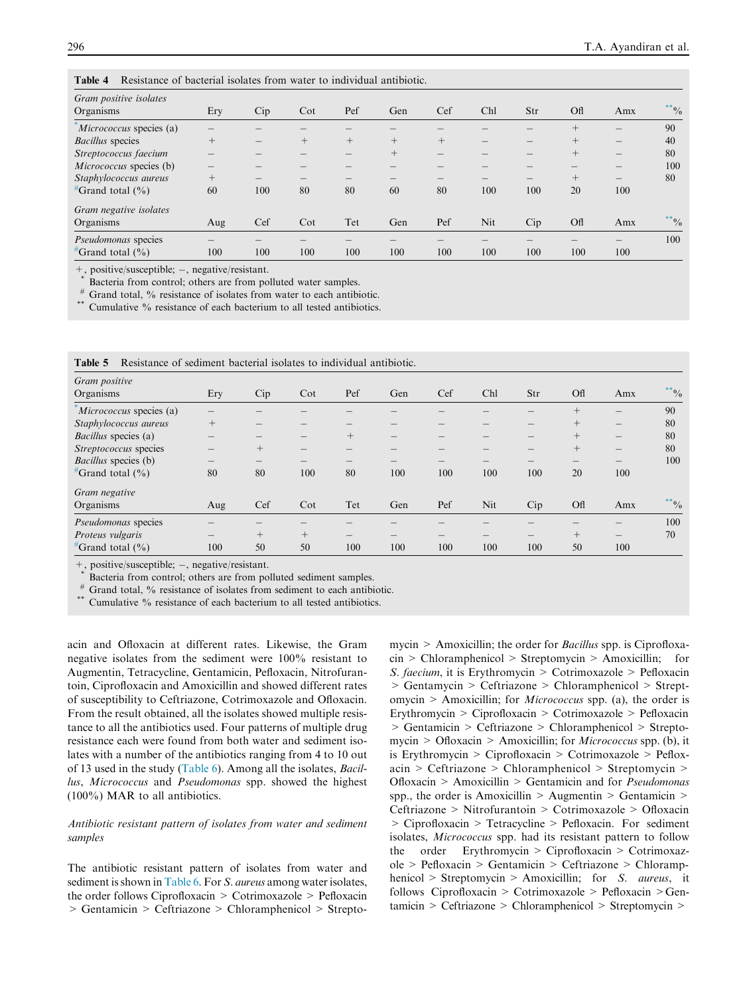| Gram positive isolates<br>Organisms | Ery    | Cip | $\cot$ | Pef    | Gen    | Cef    | Chl | Str | <b>Off</b> | Amx                                     | $^{**}$ <sup>0</sup> / <sub>0</sub> |
|-------------------------------------|--------|-----|--------|--------|--------|--------|-----|-----|------------|-----------------------------------------|-------------------------------------|
| Micrococcus species (a)             |        |     |        |        |        |        |     |     | $^{+}$     | $\overline{\phantom{m}}$                | 90                                  |
| <b>Bacillus</b> species             | $^{+}$ |     | $+$    | $^{+}$ | $^{+}$ | $^{+}$ |     |     | $^{+}$     | $\qquad \qquad - \qquad \qquad$         | 40                                  |
| Streptococcus faecium               |        |     |        |        | $^{+}$ |        |     |     | $^{+}$     | $\qquad \qquad - \qquad \qquad$         | 80                                  |
| <i>Micrococcus</i> species (b)      | –      |     |        |        |        |        |     |     |            | $\qquad \qquad - \qquad \qquad$         | 100                                 |
| Staphylococcus aureus               | $^{+}$ |     | —      |        |        |        |     |     | $^{+}$     | $\hspace{1.0cm} \overline{\phantom{0}}$ | 80                                  |
| $^{\#}$ Grand total (%)             | 60     | 100 | 80     | 80     | 60     | 80     | 100 | 100 | 20         | 100                                     |                                     |
| Gram negative isolates              |        |     |        |        |        |        |     |     |            |                                         |                                     |
| Organisms                           | Aug    | Cef | $\cot$ | Tet    | Gen    | Pef    | Nit | Cip | <b>Off</b> | Amx                                     | $^{**}$ <sup>0</sup> / <sub>0</sub> |
| <i>Pseudomonas</i> species          |        |     |        |        |        |        |     |     |            | $\qquad \qquad - \qquad \qquad$         | 100                                 |
| $^{\#}$ Grand total (%)             | 100    | 100 | 100    | 100    | 100    | 100    | 100 | 100 | 100        | 100                                     |                                     |

<span id="page-5-0"></span>Table 4 Resistance of bacterial isolates from water to individual antibiotic.

+, positive/susceptible; -, negative/resistant.

Bacteria from control; others are from polluted water samples.

Grand total, % resistance of isolates from water to each antibiotic. Cumulative % resistance of each bacterium to all tested antibiotics.

| Gram positive               |        |        |                                 |        |     |     |     |     |            |                                         |                                     |
|-----------------------------|--------|--------|---------------------------------|--------|-----|-----|-----|-----|------------|-----------------------------------------|-------------------------------------|
| Organisms                   | Ery    | Cip    | Cot                             | Pef    | Gen | Cef | Chl | Str | <b>Off</b> | Amx                                     | $^{**}$ <sup>0</sup> / <sub>0</sub> |
| Micrococcus species (a)     |        |        |                                 |        |     |     |     |     | $^{+}$     |                                         | 90                                  |
| Staphylococcus aureus       | $^{+}$ |        |                                 |        |     |     |     |     | $^{+}$     | $\qquad \qquad -$                       | 80                                  |
| <i>Bacillus</i> species (a) | —      |        | $\qquad \qquad - \qquad \qquad$ | $^{+}$ |     |     |     | –   | $^{+}$     | $\hspace{1.0cm} \overline{\phantom{0}}$ | 80                                  |
| Streptococcus species       |        | $^{+}$ |                                 |        |     |     |     |     | $^{+}$     | $\hspace{1.0cm} \overline{\phantom{0}}$ | 80                                  |
| Bacillus species (b)        | –      |        | —                               |        |     |     |     |     |            |                                         | 100                                 |
| $^{\#}$ Grand total (%)     | 80     | 80     | 100                             | 80     | 100 | 100 | 100 | 100 | 20         | 100                                     |                                     |
| Gram negative               |        |        |                                 |        |     |     |     |     |            |                                         |                                     |
| Organisms                   | Aug    | Cef    | $\cot$                          | Tet    | Gen | Pef | Nit | Cip | Ofl        | Amx                                     | $^{**}$ %                           |
| Pseudomonas species         |        |        |                                 |        |     |     |     |     |            |                                         | 100                                 |
| Proteus vulgaris            |        | $^{+}$ | $^{+}$                          |        |     |     |     |     | $^{+}$     |                                         | 70                                  |
| $^{\#}$ Grand total (%)     | 100    | 50     | 50                              | 100    | 100 | 100 | 100 | 100 | 50         | 100                                     |                                     |

| <b>Table 5</b> Resistance of sediment bacterial isolates to individual antibiotic. |  |  |  |
|------------------------------------------------------------------------------------|--|--|--|
|                                                                                    |  |  |  |

+, positive/susceptible; -, negative/resistant.

Bacteria from control; others are from polluted sediment samples.

Grand total, % resistance of isolates from sediment to each antibiotic. Cumulative % resistance of each bacterium to all tested antibiotics.

acin and Ofloxacin at different rates. Likewise, the Gram negative isolates from the sediment were 100% resistant to Augmentin, Tetracycline, Gentamicin, Pefloxacin, Nitrofurantoin, Ciprofloxacin and Amoxicillin and showed different rates of susceptibility to Ceftriazone, Cotrimoxazole and Ofloxacin. From the result obtained, all the isolates showed multiple resistance to all the antibiotics used. Four patterns of multiple drug resistance each were found from both water and sediment isolates with a number of the antibiotics ranging from 4 to 10 out of 13 used in the study ([Table 6](#page-6-0)). Among all the isolates, Bacillus, Micrococcus and Pseudomonas spp. showed the highest (100%) MAR to all antibiotics.

# Antibiotic resistant pattern of isolates from water and sediment samples

The antibiotic resistant pattern of isolates from water and sediment is shown in [Table 6](#page-6-0). For *S. aureus* among water isolates, the order follows Ciprofloxacin > Cotrimoxazole > Pefloxacin > Gentamicin > Ceftriazone > Chloramphenicol > Streptomycin > Amoxicillin; the order for *Bacillus* spp. is Ciprofloxacin > Chloramphenicol > Streptomycin > Amoxicillin; for S. faecium, it is Erythromycin > Cotrimoxazole > Pefloxacin > Gentamycin > Ceftriazone > Chloramphenicol > Streptomycin > Amoxicillin; for Micrococcus spp. (a), the order is Erythromycin > Ciprofloxacin > Cotrimoxazole > Pefloxacin > Gentamicin > Ceftriazone > Chloramphenicol > Streptomycin > Ofloxacin > Amoxicillin; for *Micrococcus* spp. (b), it is Erythromycin > Ciprofloxacin > Cotrimoxazole > Pefloxacin > Ceftriazone > Chloramphenicol > Streptomycin > Ofloxacin > Amoxicillin > Gentamicin and for Pseudomonas spp., the order is Amoxicillin > Augmentin > Gentamicin > Ceftriazone > Nitrofurantoin > Cotrimoxazole > Ofloxacin > Ciprofloxacin > Tetracycline > Pefloxacin. For sediment isolates, Micrococcus spp. had its resistant pattern to follow the order Erythromycin > Ciprofloxacin > Cotrimoxazole > Pefloxacin > Gentamicin > Ceftriazone > Chloramphenicol > Streptomycin > Amoxicillin; for S. *aureus*, it follows Ciprofloxacin > Cotrimoxazole > Pefloxacin >Gentamicin > Ceftriazone > Chloramphenicol > Streptomycin >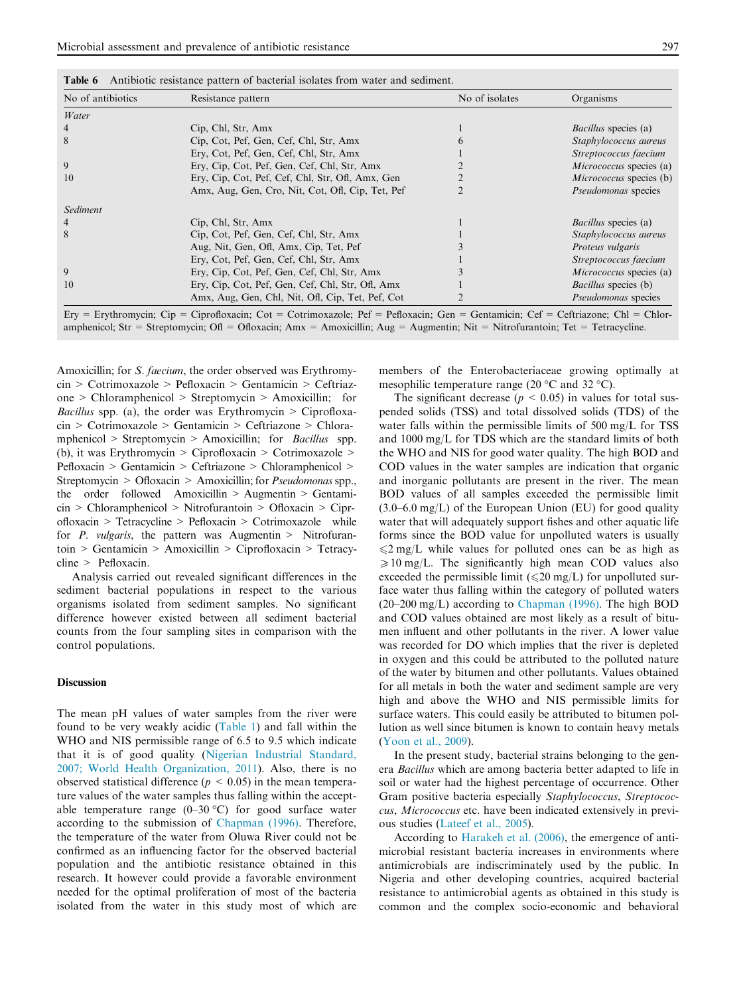<span id="page-6-0"></span>

|  | <b>Table 6</b> Antibiotic resistance pattern of bacterial isolates from water and sediment. |  |  |  |  |  |  |  |
|--|---------------------------------------------------------------------------------------------|--|--|--|--|--|--|--|
|--|---------------------------------------------------------------------------------------------|--|--|--|--|--|--|--|

| No of antibiotics | Resistance pattern                               | No of isolates | Organisms                      |
|-------------------|--------------------------------------------------|----------------|--------------------------------|
| Water             |                                                  |                |                                |
|                   | Cip, Chl, Str, Amx                               |                | <i>Bacillus</i> species (a)    |
| 8                 | Cip, Cot, Pef, Gen, Cef, Chl, Str, Amx           |                | Staphylococcus aureus          |
|                   | Ery, Cot, Pef, Gen, Cef, Chl, Str, Amx           |                | Streptococcus faecium          |
| 9                 | Ery, Cip, Cot, Pef, Gen, Cef, Chl, Str, Amx      |                | <i>Micrococcus</i> species (a) |
| 10                | Ery, Cip, Cot, Pef, Cef, Chl, Str, Ofl, Amx, Gen |                | <i>Micrococcus</i> species (b) |
|                   | Amx, Aug, Gen, Cro, Nit, Cot, Ofl, Cip, Tet, Pef |                | Pseudomonas species            |
| Sediment          |                                                  |                |                                |
|                   | Cip, Chl, Str, Amx                               |                | <i>Bacillus</i> species (a)    |
| 8                 | Cip, Cot, Pef, Gen, Cef, Chl, Str, Amx           |                | Staphylococcus aureus          |
|                   | Aug, Nit, Gen, Ofl, Amx, Cip, Tet, Pef           |                | Proteus vulgaris               |
|                   | Ery, Cot, Pef, Gen, Cef, Chl, Str, Amx           |                | Streptococcus faecium          |
| 9                 | Ery, Cip, Cot, Pef, Gen, Cef, Chl, Str, Amx      |                | <i>Micrococcus</i> species (a) |
| 10                | Ery, Cip, Cot, Pef, Gen, Cef, Chl, Str, Ofl, Amx |                | <i>Bacillus</i> species (b)    |
|                   | Amx, Aug, Gen, Chl, Nit, Ofl, Cip, Tet, Pef, Cot |                | Pseudomonas species            |

Ery = Erythromycin; Cip = Ciprofloxacin; Cot = Cotrimoxazole; Pef = Pefloxacin; Gen = Gentamicin; Cef = Ceftriazone; Chl = Chloramphenicol; Str = Streptomycin; Ofl = Ofloxacin; Amx = Amoxicillin; Aug = Augmentin; Nit = Nitrofurantoin; Tet = Tetracycline.

Amoxicillin; for *S. faecium*, the order observed was Erythromycin > Cotrimoxazole > Pefloxacin > Gentamicin > Ceftriazone > Chloramphenicol > Streptomycin > Amoxicillin; for *Bacillus* spp. (a), the order was Erythromycin  $\geq$  Ciprofloxacin > Cotrimoxazole > Gentamicin > Ceftriazone > Chloramphenicol > Streptomycin > Amoxicillin; for *Bacillus* spp. (b), it was Erythromycin > Ciprofloxacin > Cotrimoxazole > Pefloxacin > Gentamicin > Ceftriazone > Chloramphenicol > Streptomycin > Ofloxacin > Amoxicillin; for *Pseudomonas* spp., the order followed Amoxicillin > Augmentin > Gentamicin > Chloramphenicol > Nitrofurantoin > Ofloxacin > Ciprofloxacin > Tetracycline > Pefloxacin > Cotrimoxazole while for  $P$ . *vulgaris*, the pattern was Augmentin > Nitrofurantoin > Gentamicin > Amoxicillin > Ciprofloxacin > Tetracycline > Pefloxacin.

Analysis carried out revealed significant differences in the sediment bacterial populations in respect to the various organisms isolated from sediment samples. No significant difference however existed between all sediment bacterial counts from the four sampling sites in comparison with the control populations.

## **Discussion**

The mean pH values of water samples from the river were found to be very weakly acidic ([Table 1](#page-3-0)) and fall within the WHO and NIS permissible range of 6.5 to 9.5 which indicate that it is of good quality [\(Nigerian Industrial Standard,](#page-8-0) [2007; World Health Organization, 2011\)](#page-8-0). Also, there is no observed statistical difference ( $p < 0.05$ ) in the mean temperature values of the water samples thus falling within the acceptable temperature range  $(0-30 \degree C)$  for good surface water according to the submission of [Chapman \(1996\)](#page-7-0). Therefore, the temperature of the water from Oluwa River could not be confirmed as an influencing factor for the observed bacterial population and the antibiotic resistance obtained in this research. It however could provide a favorable environment needed for the optimal proliferation of most of the bacteria isolated from the water in this study most of which are members of the Enterobacteriaceae growing optimally at mesophilic temperature range (20  $\mathrm{^{\circ}C}$  and 32  $\mathrm{^{\circ}C}$ ).

The significant decrease ( $p < 0.05$ ) in values for total suspended solids (TSS) and total dissolved solids (TDS) of the water falls within the permissible limits of 500 mg/L for TSS and 1000 mg/L for TDS which are the standard limits of both the WHO and NIS for good water quality. The high BOD and COD values in the water samples are indication that organic and inorganic pollutants are present in the river. The mean BOD values of all samples exceeded the permissible limit  $(3.0-6.0 \text{ mg/L})$  of the European Union (EU) for good quality water that will adequately support fishes and other aquatic life forms since the BOD value for unpolluted waters is usually  $\leq 2$  mg/L while values for polluted ones can be as high as  $\geq 10$  mg/L. The significantly high mean COD values also exceeded the permissible limit ( $\leq 20$  mg/L) for unpolluted surface water thus falling within the category of polluted waters (20–200 mg/L) according to [Chapman \(1996\).](#page-7-0) The high BOD and COD values obtained are most likely as a result of bitumen influent and other pollutants in the river. A lower value was recorded for DO which implies that the river is depleted in oxygen and this could be attributed to the polluted nature of the water by bitumen and other pollutants. Values obtained for all metals in both the water and sediment sample are very high and above the WHO and NIS permissible limits for surface waters. This could easily be attributed to bitumen pollution as well since bitumen is known to contain heavy metals [\(Yoon et al., 2009\)](#page-8-0).

In the present study, bacterial strains belonging to the genera Bacillus which are among bacteria better adapted to life in soil or water had the highest percentage of occurrence. Other Gram positive bacteria especially Staphylococcus, Streptococcus, Micrococcus etc. have been indicated extensively in previous studies ([Lateef et al., 2005\)](#page-8-0).

According to [Harakeh et al. \(2006\)](#page-8-0), the emergence of antimicrobial resistant bacteria increases in environments where antimicrobials are indiscriminately used by the public. In Nigeria and other developing countries, acquired bacterial resistance to antimicrobial agents as obtained in this study is common and the complex socio-economic and behavioral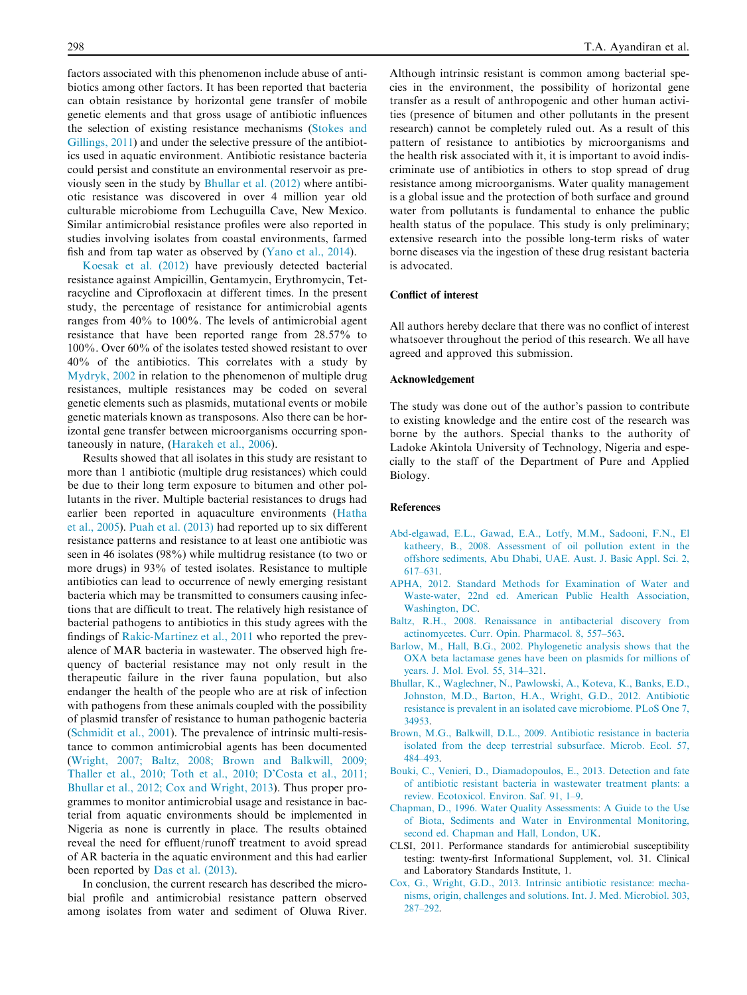<span id="page-7-0"></span>factors associated with this phenomenon include abuse of antibiotics among other factors. It has been reported that bacteria can obtain resistance by horizontal gene transfer of mobile genetic elements and that gross usage of antibiotic influences the selection of existing resistance mechanisms ([Stokes and](#page-8-0) [Gillings, 2011](#page-8-0)) and under the selective pressure of the antibiotics used in aquatic environment. Antibiotic resistance bacteria could persist and constitute an environmental reservoir as previously seen in the study by Bhullar et al. (2012) where antibiotic resistance was discovered in over 4 million year old culturable microbiome from Lechuguilla Cave, New Mexico. Similar antimicrobial resistance profiles were also reported in studies involving isolates from coastal environments, farmed fish and from tap water as observed by [\(Yano et al., 2014](#page-8-0)).

[Koesak et al. \(2012\)](#page-8-0) have previously detected bacterial resistance against Ampicillin, Gentamycin, Erythromycin, Tetracycline and Ciprofloxacin at different times. In the present study, the percentage of resistance for antimicrobial agents ranges from 40% to 100%. The levels of antimicrobial agent resistance that have been reported range from 28.57% to 100%. Over 60% of the isolates tested showed resistant to over 40% of the antibiotics. This correlates with a study by [Mydryk, 2002](#page-8-0) in relation to the phenomenon of multiple drug resistances, multiple resistances may be coded on several genetic elements such as plasmids, mutational events or mobile genetic materials known as transposons. Also there can be horizontal gene transfer between microorganisms occurring spontaneously in nature, ([Harakeh et al., 2006](#page-8-0)).

Results showed that all isolates in this study are resistant to more than 1 antibiotic (multiple drug resistances) which could be due to their long term exposure to bitumen and other pollutants in the river. Multiple bacterial resistances to drugs had earlier been reported in aquaculture environments ([Hatha](#page-8-0) [et al., 2005](#page-8-0)). [Puah et al. \(2013\)](#page-8-0) had reported up to six different resistance patterns and resistance to at least one antibiotic was seen in 46 isolates (98%) while multidrug resistance (to two or more drugs) in 93% of tested isolates. Resistance to multiple antibiotics can lead to occurrence of newly emerging resistant bacteria which may be transmitted to consumers causing infections that are difficult to treat. The relatively high resistance of bacterial pathogens to antibiotics in this study agrees with the findings of [Rakic-Martinez et al., 2011](#page-8-0) who reported the prevalence of MAR bacteria in wastewater. The observed high frequency of bacterial resistance may not only result in the therapeutic failure in the river fauna population, but also endanger the health of the people who are at risk of infection with pathogens from these animals coupled with the possibility of plasmid transfer of resistance to human pathogenic bacteria ([Schmidit et al., 2001](#page-8-0)). The prevalence of intrinsic multi-resistance to common antimicrobial agents has been documented ([Wright, 2007; Baltz, 2008; Brown and Balkwill, 2009;](#page-8-0) [Thaller et al., 2010; Toth et al., 2010; D'Costa et al., 2011;](#page-8-0) [Bhullar et al., 2012; Cox and Wright, 2013](#page-8-0)). Thus proper programmes to monitor antimicrobial usage and resistance in bacterial from aquatic environments should be implemented in Nigeria as none is currently in place. The results obtained reveal the need for effluent/runoff treatment to avoid spread of AR bacteria in the aquatic environment and this had earlier been reported by [Das et al. \(2013\).](#page-8-0)

In conclusion, the current research has described the microbial profile and antimicrobial resistance pattern observed among isolates from water and sediment of Oluwa River.

Although intrinsic resistant is common among bacterial species in the environment, the possibility of horizontal gene transfer as a result of anthropogenic and other human activities (presence of bitumen and other pollutants in the present research) cannot be completely ruled out. As a result of this pattern of resistance to antibiotics by microorganisms and the health risk associated with it, it is important to avoid indiscriminate use of antibiotics in others to stop spread of drug resistance among microorganisms. Water quality management is a global issue and the protection of both surface and ground water from pollutants is fundamental to enhance the public health status of the populace. This study is only preliminary; extensive research into the possible long-term risks of water borne diseases via the ingestion of these drug resistant bacteria is advocated.

# Conflict of interest

All authors hereby declare that there was no conflict of interest whatsoever throughout the period of this research. We all have agreed and approved this submission.

#### Acknowledgement

The study was done out of the author's passion to contribute to existing knowledge and the entire cost of the research was borne by the authors. Special thanks to the authority of Ladoke Akintola University of Technology, Nigeria and especially to the staff of the Department of Pure and Applied Biology.

#### References

- [Abd-elgawad, E.L., Gawad, E.A., Lotfy, M.M., Sadooni, F.N., El](http://refhub.elsevier.com/S1687-4285(14)00075-2/h0005) [katheery, B., 2008. Assessment of oil pollution extent in the](http://refhub.elsevier.com/S1687-4285(14)00075-2/h0005) [offshore sediments, Abu Dhabi, UAE. Aust. J. Basic Appl. Sci. 2,](http://refhub.elsevier.com/S1687-4285(14)00075-2/h0005) [617–631](http://refhub.elsevier.com/S1687-4285(14)00075-2/h0005).
- [APHA, 2012. Standard Methods for Examination of Water and](http://refhub.elsevier.com/S1687-4285(14)00075-2/h0010) [Waste-water, 22nd ed. American Public Health Association,](http://refhub.elsevier.com/S1687-4285(14)00075-2/h0010) [Washington, DC.](http://refhub.elsevier.com/S1687-4285(14)00075-2/h0010)
- [Baltz, R.H., 2008. Renaissance in antibacterial discovery from](http://refhub.elsevier.com/S1687-4285(14)00075-2/h0015) [actinomycetes. Curr. Opin. Pharmacol. 8, 557–563.](http://refhub.elsevier.com/S1687-4285(14)00075-2/h0015)
- [Barlow, M., Hall, B.G., 2002. Phylogenetic analysis shows that the](http://refhub.elsevier.com/S1687-4285(14)00075-2/h0020) [OXA beta lactamase genes have been on plasmids for millions of](http://refhub.elsevier.com/S1687-4285(14)00075-2/h0020) [years. J. Mol. Evol. 55, 314–321](http://refhub.elsevier.com/S1687-4285(14)00075-2/h0020).
- [Bhullar, K., Waglechner, N., Pawlowski, A., Koteva, K., Banks, E.D.,](http://refhub.elsevier.com/S1687-4285(14)00075-2/h0025) [Johnston, M.D., Barton, H.A., Wright, G.D., 2012. Antibiotic](http://refhub.elsevier.com/S1687-4285(14)00075-2/h0025) [resistance is prevalent in an isolated cave microbiome. PLoS One 7,](http://refhub.elsevier.com/S1687-4285(14)00075-2/h0025) [34953](http://refhub.elsevier.com/S1687-4285(14)00075-2/h0025).
- [Brown, M.G., Balkwill, D.L., 2009. Antibiotic resistance in bacteria](http://refhub.elsevier.com/S1687-4285(14)00075-2/h0030) [isolated from the deep terrestrial subsurface. Microb. Ecol. 57,](http://refhub.elsevier.com/S1687-4285(14)00075-2/h0030) [484–493](http://refhub.elsevier.com/S1687-4285(14)00075-2/h0030).
- [Bouki, C., Venieri, D., Diamadopoulos, E., 2013. Detection and fate](http://refhub.elsevier.com/S1687-4285(14)00075-2/h0035) [of antibiotic resistant bacteria in wastewater treatment plants: a](http://refhub.elsevier.com/S1687-4285(14)00075-2/h0035) [review. Ecotoxicol. Environ. Saf. 91, 1–9](http://refhub.elsevier.com/S1687-4285(14)00075-2/h0035).
- [Chapman, D., 1996. Water Quality Assessments: A Guide to the Use](http://refhub.elsevier.com/S1687-4285(14)00075-2/h0040) [of Biota, Sediments and Water in Environmental Monitoring,](http://refhub.elsevier.com/S1687-4285(14)00075-2/h0040) [second ed. Chapman and Hall, London, UK](http://refhub.elsevier.com/S1687-4285(14)00075-2/h0040).
- CLSI, 2011. Performance standards for antimicrobial susceptibility testing: twenty-first Informational Supplement, vol. 31. Clinical and Laboratory Standards Institute, 1.
- [Cox, G., Wright, G.D., 2013. Intrinsic antibiotic resistance: mecha](http://refhub.elsevier.com/S1687-4285(14)00075-2/h0050)[nisms, origin, challenges and solutions. Int. J. Med. Microbiol. 303,](http://refhub.elsevier.com/S1687-4285(14)00075-2/h0050) [287–292](http://refhub.elsevier.com/S1687-4285(14)00075-2/h0050).